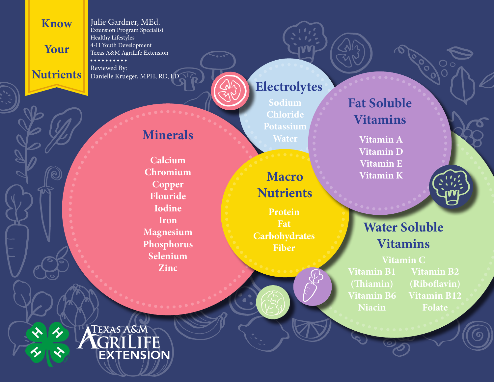### **Know**

**Your**

**Nutrients**

Julie Gardner, MEd. Extension Program Specialist Healthy Lifestyles 4-H Youth Development Texas A&M AgriLife Extension . . . . . . . . . . Reviewed By: Danielle Krueger, MPH, RD, LD

**Minerals**

**Calcium Chromium**

**Copper Flouride Iodine Iron**

**Magnesium Phosphorus Selenium**

**Zinc**

### **Electrolytes**

**Sodium Chloride Potassium**

# **Water**

**Macro Nutrients**

**Protein Fat Carbohydrates Fiber**

### **Fat Soluble Vitamins**

**Vitamin A Vitamin D Vitamin E Vitamin K**



**Vitamin C Vitamin B1 (Thiamin) Vitamin B6 Niacin**

**Vitamin B2 (Riboflavin) Vitamin B12 Folate**

**TEXAS A&M** C R/L I

FF **EXTENSION**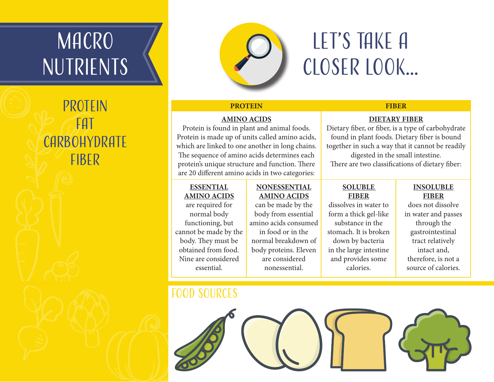# **MACRO NUTRIENTS**

## **PROTEIN** Fat **CARBOHYDRATE FIBER**



## Let's Take A Closer Look...

**DIETARY FIBER** Dietary fiber, or fiber, is a type of carbohydrate found in plant foods. Dietary fiber is bound together in such a way that it cannot be readily digested in the small intestine. There are two classifications of dietary fiber:

#### **PROTEIN FIBER**

### **AMINO ACIDS**

Protein is found in plant and animal foods. Protein is made up of units called amino acids, which are linked to one another in long chains. The sequence of amino acids determines each protein's unique structure and function. There are 20 different amino acids in two categories:

### **ESSENTIAL AMINO ACIDS**

are required for normal body functioning, but cannot be made by the body. They must be obtained from food.

### **NONESSENTIAL AMINO ACIDS**

can be made by the body from essential amino acids consumed in food or in the normal breakdown of body proteins. Eleven are considered nonessential.

#### **SOLUBLE FIBER**

dissolves in water to form a thick gel-like substance in the stomach. It is broken down by bacteria in the large intestine and provides some calories.

#### **INSOLUBLE FIBER**

does not dissolve in water and passes through the gastrointestinal tract relatively intact and, therefore, is not a source of calories.

### Food Sources

Nine are considered essential.

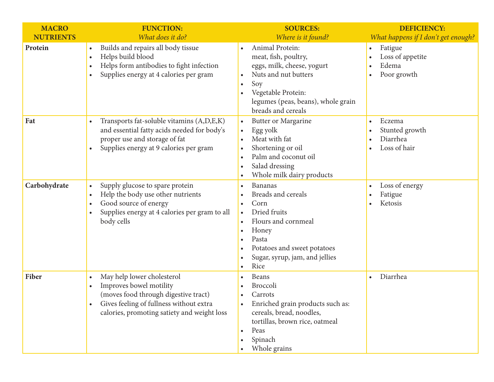| <b>MACRO</b>     | <b>FUNCTION:</b>                                                                                                                                                                                     | <b>SOURCES:</b>                                                                                                                                                                                                  | <b>DEFICIENCY:</b>                                               |
|------------------|------------------------------------------------------------------------------------------------------------------------------------------------------------------------------------------------------|------------------------------------------------------------------------------------------------------------------------------------------------------------------------------------------------------------------|------------------------------------------------------------------|
| <b>NUTRIENTS</b> | What does it do?                                                                                                                                                                                     | Where is it found?                                                                                                                                                                                               | What happens if I don't get enough?                              |
| Protein          | Builds and repairs all body tissue<br>$\bullet$<br>Helps build blood<br>$\bullet$<br>Helps form antibodies to fight infection<br>$\bullet$<br>Supplies energy at 4 calories per gram<br>$\bullet$    | Animal Protein:<br>$\bullet$<br>meat, fish, poultry,<br>eggs, milk, cheese, yogurt<br>Nuts and nut butters<br>Soy<br>$\bullet$<br>Vegetable Protein:<br>legumes (peas, beans), whole grain<br>breads and cereals | Fatigue<br>$\bullet$<br>Loss of appetite<br>Edema<br>Poor growth |
| Fat              | Transports fat-soluble vitamins (A,D,E,K)<br>$\bullet$<br>and essential fatty acids needed for body's<br>proper use and storage of fat<br>Supplies energy at 9 calories per gram<br>$\bullet$        | Butter or Margarine<br>$\bullet$<br>Egg yolk<br>$\bullet$<br>Meat with fat<br>Shortening or oil<br>Palm and coconut oil<br>$\bullet$<br>Salad dressing<br>Whole milk dairy products                              | Eczema<br>Stunted growth<br>Diarrhea<br>Loss of hair             |
| Carbohydrate     | Supply glucose to spare protein<br>$\bullet$<br>Help the body use other nutrients<br>$\bullet$<br>Good source of energy<br>$\bullet$<br>Supplies energy at 4 calories per gram to all<br>body cells  | Bananas<br>Breads and cereals<br>Corn<br>Dried fruits<br>$\bullet$<br>Flours and cornmeal<br>Honey<br>Pasta<br>Potatoes and sweet potatoes<br>Sugar, syrup, jam, and jellies<br>Rice                             | Loss of energy<br>Fatigue<br>Ketosis                             |
| Fiber            | May help lower cholesterol<br>$\bullet$<br>Improves bowel motility<br>(moves food through digestive tract)<br>Gives feeling of fullness without extra<br>calories, promoting satiety and weight loss | Beans<br><b>Broccoli</b><br>Carrots<br>Enriched grain products such as:<br>cereals, bread, noodles,<br>tortillas, brown rice, oatmeal<br>Peas<br>Spinach<br>Whole grains                                         | Diarrhea                                                         |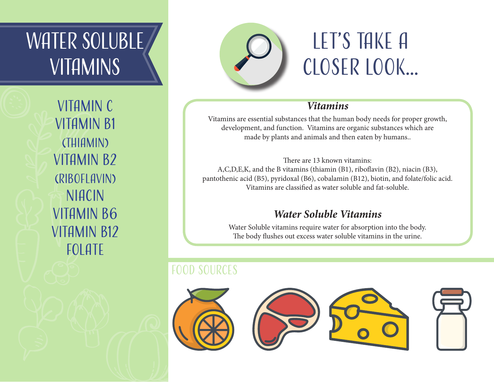# WATER SOLUBLE **VITAMINS**

Vitamin C Vitamin B1 (Thiamin) VITAMIN B<sub>2</sub> (Riboflavin) **NIACIN** Vitamin B6 VITAMIN B12 FOLATE



# LET'S TAKF A Closer Look...

### *Vitamins*

Vitamins are essential substances that the human body needs for proper growth, development, and function. Vitamins are organic substances which are made by plants and animals and then eaten by humans..

There are 13 known vitamins: A,C,D,E,K, and the B vitamins (thiamin (B1), riboflavin (B2), niacin (B3), pantothenic acid (B5), pyridoxal (B6), cobalamin (B12), biotin, and folate/folic acid. Vitamins are classified as water soluble and fat-soluble.

### *Water Soluble Vitamins*

Water Soluble vitamins require water for absorption into the body. The body flushes out excess water soluble vitamins in the urine.

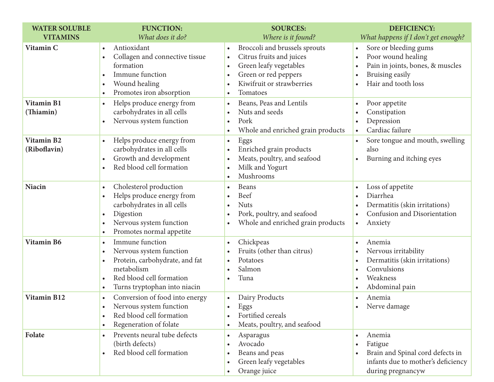| <b>WATER SOLUBLE</b>              | <b>FUNCTION:</b>                                                                                                                                                                                                       | <b>SOURCES:</b>                                                                                                                                                                                                                                          | <b>DEFICIENCY:</b>                                                                                                                                                            |
|-----------------------------------|------------------------------------------------------------------------------------------------------------------------------------------------------------------------------------------------------------------------|----------------------------------------------------------------------------------------------------------------------------------------------------------------------------------------------------------------------------------------------------------|-------------------------------------------------------------------------------------------------------------------------------------------------------------------------------|
| <b>VITAMINS</b><br>Vitamin C      | What does it do?<br>Antioxidant<br>$\bullet$<br>Collagen and connective tissue<br>$\bullet$<br>formation<br>Immune function<br>Wound healing<br>$\bullet$<br>Promotes iron absorption                                  | Where is it found?<br>Broccoli and brussels sprouts<br>$\bullet$<br>Citrus fruits and juices<br>$\bullet$<br>Green leafy vegetables<br>$\bullet$<br>Green or red peppers<br>$\bullet$<br>Kiwifruit or strawberries<br>$\bullet$<br>Tomatoes<br>$\bullet$ | What happens if I don't get enough?<br>Sore or bleeding gums<br>$\bullet$<br>Poor wound healing<br>Pain in joints, bones, & muscles<br>Bruising easily<br>Hair and tooth loss |
| <b>Vitamin B1</b><br>(Thiamin)    | Helps produce energy from<br>$\bullet$<br>carbohydrates in all cells<br>Nervous system function                                                                                                                        | Beans, Peas and Lentils<br>$\bullet$<br>Nuts and seeds<br>$\bullet$<br>Pork<br>$\bullet$<br>Whole and enriched grain products<br>$\bullet$                                                                                                               | Poor appetite<br>Constipation<br>Depression<br>Cardiac failure                                                                                                                |
| <b>Vitamin B2</b><br>(Riboflavin) | Helps produce energy from<br>$\bullet$<br>carbohydrates in all cells<br>Growth and development<br>$\bullet$<br>Red blood cell formation                                                                                | Eggs<br>$\bullet$<br>Enriched grain products<br>$\bullet$<br>Meats, poultry, and seafood<br>$\bullet$<br>Milk and Yogurt<br>$\bullet$<br>Mushrooms<br>$\bullet$                                                                                          | Sore tongue and mouth, swelling<br>also<br>Burning and itching eyes<br>$\bullet$                                                                                              |
| <b>Niacin</b>                     | Cholesterol production<br>$\bullet$<br>Helps produce energy from<br>$\bullet$<br>carbohydrates in all cells<br>Digestion<br>$\bullet$<br>Nervous system function<br>$\bullet$<br>Promotes normal appetite<br>$\bullet$ | <b>Beans</b><br>$\bullet$<br>Beef<br>$\bullet$<br><b>Nuts</b><br>$\bullet$<br>Pork, poultry, and seafood<br>$\bullet$<br>Whole and enriched grain products<br>$\bullet$                                                                                  | Loss of appetite<br>$\bullet$<br>Diarrhea<br>Dermatitis (skin irritations)<br>Confusion and Disorientation<br>Anxiety<br>$\bullet$                                            |
| Vitamin B6                        | Immune function<br>$\bullet$<br>Nervous system function<br>$\bullet$<br>Protein, carbohydrate, and fat<br>$\bullet$<br>metabolism<br>Red blood cell formation<br>Turns tryptophan into niacin                          | Chickpeas<br>$\bullet$<br>Fruits (other than citrus)<br>$\bullet$<br>Potatoes<br>$\bullet$<br>Salmon<br>$\bullet$<br>Tuna<br>$\bullet$                                                                                                                   | Anemia<br>$\bullet$<br>Nervous irritability<br>Dermatitis (skin irritations)<br>$\bullet$<br>Convulsions<br>Weakness<br>Abdominal pain                                        |
| Vitamin B12                       | Conversion of food into energy<br>$\bullet$<br>Nervous system function<br>Red blood cell formation<br>Regeneration of folate<br>$\bullet$                                                                              | Dairy Products<br>$\bullet$<br>Eggs<br>$\bullet$<br>Fortified cereals<br>$\bullet$<br>Meats, poultry, and seafood<br>$\bullet$                                                                                                                           | Anemia<br>$\bullet$<br>Nerve damage<br>$\bullet$                                                                                                                              |
| Folate                            | Prevents neural tube defects<br>$\bullet$<br>(birth defects)<br>Red blood cell formation                                                                                                                               | Asparagus<br>$\bullet$<br>Avocado<br>$\bullet$<br>Beans and peas<br>$\bullet$<br>Green leafy vegetables<br>$\bullet$<br>Orange juice<br>$\bullet$                                                                                                        | Anemia<br>$\bullet$<br>Fatigue<br>Brain and Spinal cord defects in<br>infants due to mother's deficiency<br>during pregnancyw                                                 |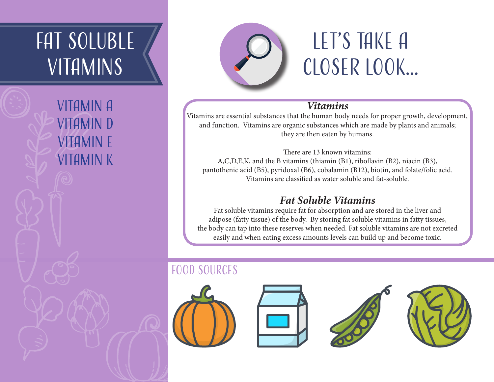# FAT SOLUBLE **VITAMINS**

Vitamin A Vitamin D Vitamin E Vitamin K



# Let's Take A Closer Look...

### *Vitamins*

Vitamins are essential substances that the human body needs for proper growth, development, and function. Vitamins are organic substances which are made by plants and animals; they are then eaten by humans.

There are 13 known vitamins: A,C,D,E,K, and the B vitamins (thiamin (B1), riboflavin (B2), niacin (B3), pantothenic acid (B5), pyridoxal (B6), cobalamin (B12), biotin, and folate/folic acid. Vitamins are classified as water soluble and fat-soluble.

### *Fat Soluble Vitamins*

Fat soluble vitamins require fat for absorption and are stored in the liver and adipose (fatty tissue) of the body. By storing fat soluble vitamins in fatty tissues, the body can tap into these reserves when needed. Fat soluble vitamins are not excreted easily and when eating excess amounts levels can build up and become toxic.

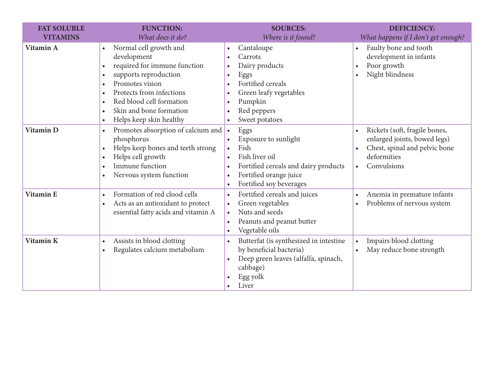| <b>FAT SOLUBLE</b><br><b>VITAMINS</b> | <b>FUNCTION:</b><br>What does it do?                                                                                                                                                                                                                                                                                       | <b>SOURCES:</b><br>Where is it found?                                                                                                                                                                                                                           | <b>DEFICIENCY:</b>                                                                                                                        |
|---------------------------------------|----------------------------------------------------------------------------------------------------------------------------------------------------------------------------------------------------------------------------------------------------------------------------------------------------------------------------|-----------------------------------------------------------------------------------------------------------------------------------------------------------------------------------------------------------------------------------------------------------------|-------------------------------------------------------------------------------------------------------------------------------------------|
| Vitamin A                             | Normal cell growth and<br>development<br>required for immune function<br>$\bullet$<br>supports reproduction<br>$\bullet$<br>Promotes vision<br>$\bullet$<br>Protects from infections<br>$\bullet$<br>Red blood cell formation<br>$\bullet$<br>Skin and bone formation<br>$\bullet$<br>Helps keep skin healthy<br>$\bullet$ | Cantaloupe<br>$\bullet$<br>Carrots<br>$\bullet$<br>Dairy products<br>$\bullet$<br>Eggs<br>$\bullet$<br>Fortified cereals<br>$\bullet$<br>Green leafy vegetables<br>$\bullet$<br>Pumpkin<br>$\bullet$<br>Red peppers<br>$\bullet$<br>Sweet potatoes<br>$\bullet$ | What happens if I don't get enough?<br>Faulty bone and tooth<br>development in infants<br>Poor growth<br>Night blindness                  |
| Vitamin D                             | Promotes absorption of calcium and<br>$\bullet$<br>phosphorus<br>Helps keep bones and teeth strong<br>$\bullet$<br>Helps cell growth<br>$\bullet$<br>Immune function<br>$\bullet$<br>Nervous system function<br>$\bullet$                                                                                                  | Eggs<br>$\bullet$<br>Exposure to sunlight<br>$\bullet$<br>Fish<br>$\bullet$<br>Fish liver oil<br>$\bullet$<br>Fortified cereals and dairy products<br>$\bullet$<br>Fortified orange juice<br>$\bullet$<br>Fortified soy beverages<br>$\bullet$                  | Rickets (soft, fragile bones,<br>$\bullet$<br>enlarged joints, bowed legs)<br>Chest, spinal and pelvic bone<br>deformities<br>Convulsions |
| <b>Vitamin E</b>                      | Formation of red clood cells<br>$\bullet$<br>Acts as an antioxidant to protect<br>$\bullet$<br>essential fatty acids and vitamin A                                                                                                                                                                                         | Fortified cereals and juices<br>$\bullet$<br>Green vegetables<br>$\bullet$<br>Nuts and seeds<br>$\bullet$<br>Peanuts and peanut butter<br>$\bullet$<br>Vegetable oils<br>$\bullet$                                                                              | Anemia in premature infants<br>Problems of nervous system                                                                                 |
| Vitamin K                             | Assists in blood clotting<br>$\bullet$<br>Regulates calcium metabolism<br>$\bullet$                                                                                                                                                                                                                                        | Butterfat (is synthesized in intestine<br>$\bullet$<br>by beneficial bacteria)<br>Deep green leaves (alfalfa, spinach,<br>$\bullet$<br>cabbage)<br>Egg yolk<br>$\bullet$<br>Liver<br>$\bullet$                                                                  | Impairs blood clotting<br>May reduce bone strength                                                                                        |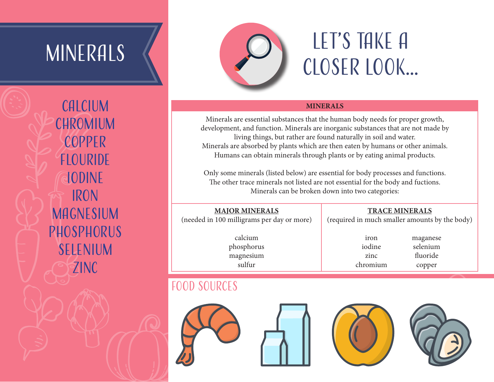# MINERALS<sup>I</sup>

**CALCIUM CHROMIUM** copper **FLOURIDE** iodine iron **MAGNESIUM PHOSPHORUS** selenium zinc



# Let's Take A Closer Look...

#### **MINERALS**

Minerals are essential substances that the human body needs for proper growth, development, and function. Minerals are inorganic substances that are not made by living things, but rather are found naturally in soil and water. Minerals are absorbed by plants which are then eaten by humans or other animals. Humans can obtain minerals through plants or by eating animal products.

Only some minerals (listed below) are essential for body processes and functions. The other trace minerals not listed are not essential for the body and fuctions. Minerals can be broken down into two categories:

#### **MAJOR MINERALS** (needed in 100 milligrams per day or more)

**TRACE MINERALS**

(required in much smaller amounts by the body)

calcium phosphorus magnesium sulfur

iron iodine zinc chromium maganese selenium fluoride copper

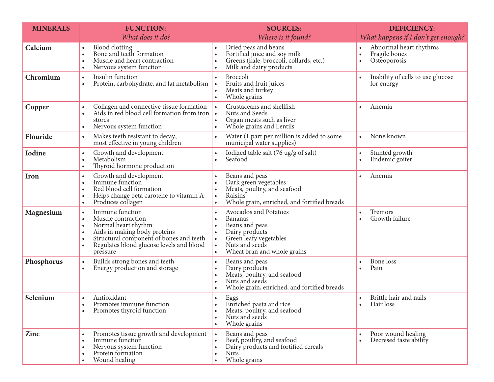| <b>MINERALS</b> | <b>FUNCTION:</b>                                                                                                                                                                                                          | <b>SOURCES:</b>                                                                                                                                                                                                                                   | <b>DEFICIENCY:</b>                                      |
|-----------------|---------------------------------------------------------------------------------------------------------------------------------------------------------------------------------------------------------------------------|---------------------------------------------------------------------------------------------------------------------------------------------------------------------------------------------------------------------------------------------------|---------------------------------------------------------|
|                 | What does it do?                                                                                                                                                                                                          | Where is it found?                                                                                                                                                                                                                                | What happens if I don't get enough?                     |
| Calcium         | <b>Blood</b> clotting<br>Bone and teeth formation<br>Muscle and heart contraction<br>$\bullet$<br>Nervous system function<br>$\bullet$                                                                                    | Dried peas and beans<br>$\bullet$<br>Fortified juice and soy milk<br>$\bullet$<br>Greens (kale, broccoli, collards, etc.)<br>$\bullet$<br>Milk and dairy products<br>$\bullet$                                                                    | Abnormal heart rhythms<br>Fragile bones<br>Osteoporosis |
| Chromium        | Insulin function<br>$\bullet$<br>Protein, carbohydrate, and fat metabolism<br>$\bullet$                                                                                                                                   | Broccoli<br>$\bullet$<br>Fruits and fruit juices<br>$\bullet$<br>Meats and turkey<br>$\bullet$<br>Whole grains<br>$\bullet$                                                                                                                       | Inability of cells to use glucose<br>for energy         |
| Copper          | Collagen and connective tissue formation<br>Aids in red blood cell formation from iron<br>$\bullet$<br>stores<br>Nervous system function<br>$\bullet$                                                                     | Crustaceans and shellfish<br>$\bullet$<br>Nuts and Seeds<br>$\bullet$<br>Organ meats such as liver<br>$\bullet$<br>Whole grains and Lentils<br>$\bullet$                                                                                          | Anemia<br>$\bullet$                                     |
| Flouride        | Makes teeth resistant to decay;<br>$\bullet$<br>most effective in young children                                                                                                                                          | Water (1 part per million is added to some<br>$\bullet$<br>municipal water supplies)                                                                                                                                                              | None known<br>$\bullet$                                 |
| <b>Iodine</b>   | Growth and development<br>$\bullet$<br>Metabolism<br>Thyroid hormone production<br>$\bullet$                                                                                                                              | Iodized table salt (76 ug/g of salt)<br>$\bullet$<br>Seafood<br>$\bullet$                                                                                                                                                                         | Stunted growth<br>٠<br>Endemic goiter                   |
| Iron            | Growth and development<br>$\bullet$<br>Immune function<br>$\bullet$<br>Red blood cell formation<br>Helps change beta carotene to vitamin A<br>$\bullet$<br>Produces collagen<br>$\bullet$                                 | Beans and peas<br>$\bullet$<br>Dark green vegetables<br>$\bullet$<br>Meats, poultry, and seafood<br>$\bullet$<br>Raisins<br>$\bullet$<br>Whole grain, enriched, and fortified breads<br>$\bullet$                                                 | Anemia                                                  |
| Magnesium       | Immune function<br>$\bullet$<br>Muscle contraction<br>Normal heart rhythm<br>$\bullet$<br>Aids in making body proteins<br>Structural component of bones and teeth<br>Regulates blood glucose levels and blood<br>pressure | Avocados and Potatoes<br>$\bullet$<br><b>Bananas</b><br>$\bullet$<br>Beans and peas<br>$\bullet$<br>Dairy products<br>$\bullet$<br>Green leafy vegetables<br>$\bullet$<br>Nuts and seeds<br>$\bullet$<br>Wheat bran and whole grains<br>$\bullet$ | Tremors<br>$\bullet$<br>Growth failure                  |
| Phosphorus      | Builds strong bones and teeth<br>$\bullet$<br>Energy production and storage<br>$\bullet$                                                                                                                                  | Beans and peas<br>$\bullet$<br>Dairy products<br>$\bullet$<br>Meats, poultry, and seafood<br>$\bullet$<br>Nuts and seeds<br>$\bullet$<br>Whole grain, enriched, and fortified breads<br>$\bullet$                                                 | Bone loss<br>Pain                                       |
| Selenium        | Antioxidant<br>$\bullet$<br>Promotes immune function<br>Promotes thyroid function<br>$\bullet$                                                                                                                            | Eggs<br>$\bullet$<br>Enriched pasta and rice<br>$\bullet$<br>Meats, poultry, and seafood<br>$\bullet$<br>Nuts and seeds<br>$\bullet$<br>Whole grains<br>$\bullet$                                                                                 | Brittle hair and nails<br>Hair loss<br>$\bullet$        |
| Zinc            | Promotes tissue growth and development<br>$\bullet$<br>Immune function<br>$\bullet$<br>Nervous system function<br>Protein formation<br>Wound healing                                                                      | Beans and peas<br>$\bullet$<br>Beef, poultry, and seafood<br>$\bullet$<br>Dairy products and fortified cereals<br>$\bullet$<br><b>Nuts</b><br>$\bullet$<br>Whole grains<br>$\bullet$                                                              | Poor wound healing<br>Decresed taste ability            |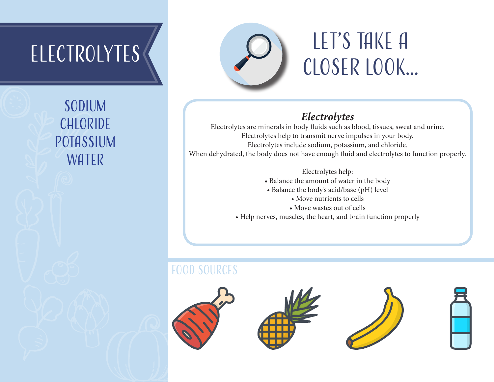# Electrolytes

Sodium **CHLORIDE** potassium WATER



# LET'S TAKE A Closer Look...

### *Electrolytes*

Electrolytes are minerals in body fluids such as blood, tissues, sweat and urine. Electrolytes help to transmit nerve impulses in your body. Electrolytes include sodium, potassium, and chloride. When dehydrated, the body does not have enough fluid and electrolytes to function properly.

Electrolytes help:

- Balance the amount of water in the body
- Balance the body's acid/base (pH) level
	- Move nutrients to cells
	- Move wastes out of cells
- Help nerves, muscles, the heart, and brain function properly

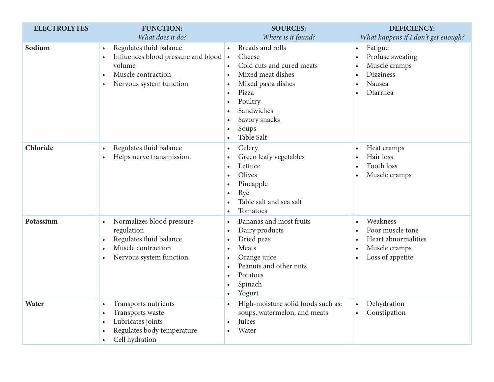| <b>ELECTROLYTES</b> | <b>FUNCTION:</b>                                                                                                                                                        | <b>SOURCES:</b>                                                                                                                                                                                                                                                                      | <b>DEFICIENCY:</b>                                                                                                 |
|---------------------|-------------------------------------------------------------------------------------------------------------------------------------------------------------------------|--------------------------------------------------------------------------------------------------------------------------------------------------------------------------------------------------------------------------------------------------------------------------------------|--------------------------------------------------------------------------------------------------------------------|
|                     | What does it do?                                                                                                                                                        | Where is it found?                                                                                                                                                                                                                                                                   | What happens if I don't get enough?                                                                                |
| Sodium              | Regulates fluid balance<br>$\bullet$<br>Influences blood pressure and blood •<br>volume<br>Muscle contraction<br>$\bullet$<br>Nervous system function<br>$\bullet$      | Breads and rolls<br>$\bullet$<br>Cheese<br>Cold cuts and cured meats<br>$\bullet$<br>Mixed meat dishes<br>$\bullet$<br>Mixed pasta dishes<br>$\bullet$<br>Pizza<br>$\bullet$<br>Poultry<br>Sandwiches<br>Savory snacks<br>$\bullet$<br>Soups<br>$\bullet$<br>Table Salt<br>$\bullet$ | Fatigue<br>$\bullet$<br>Profuse sweating<br>Muscle cramps<br><b>Dizziness</b><br>Nausea<br>$\bullet$<br>Diarrhea   |
| Chloride            | Regulates fluid balance<br>$\bullet$<br>Helps nerve transmission.<br>$\bullet$                                                                                          | Celery<br>$\bullet$<br>Green leafy vegetables<br>Lettuce<br>$\bullet$<br>Olives<br>Pineapple<br>$\bullet$<br>Rye<br>$\bullet$<br>Table salt and sea salt<br>$\bullet$<br>Tomatoes<br>$\bullet$                                                                                       | Heat cramps<br>$\bullet$<br>Hair loss<br><b>Tooth loss</b><br>Muscle cramps                                        |
| Potassium           | Normalizes blood pressure<br>$\bullet$<br>regulation<br>Regulates fluid balance<br>$\bullet$<br>Muscle contraction<br>$\bullet$<br>Nervous system function<br>$\bullet$ | Bananas and most fruits<br>$\bullet$<br>Dairy products<br>$\bullet$<br>Dried peas<br>$\bullet$<br>Meats<br>$\bullet$<br>Orange juice<br>$\bullet$<br>Peanuts and other nuts<br>$\bullet$<br>Potatoes<br>$\bullet$<br>Spinach<br>Yogurt<br>$\bullet$                                  | Weakness<br>$\bullet$<br>Poor muscle tone<br>Heart abnormalities<br>Muscle cramps<br>Loss of appetite<br>$\bullet$ |
| Water               | Transports nutrients<br>$\bullet$<br>Transports waste<br>$\bullet$<br>Lubricates joints<br>$\bullet$<br>Regulates body temperature<br>Cell hydration                    | High-moisture solid foods such as:<br>soups, watermelon, and meats<br>Juices<br>$\bullet$<br>Water                                                                                                                                                                                   | Dehydration<br>$\bullet$<br>Constipation<br>$\bullet$                                                              |